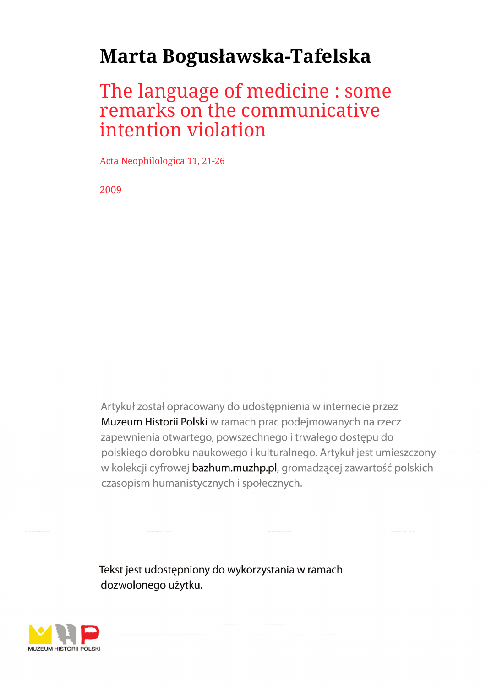# **Marta Bogusławska-Tafelska**

## The language of medicine : some remarks on the communicative intention violation

Acta Neophilologica 11, 21-26

2009

Artykuł został opracowany do udostępnienia w internecie przez Muzeum Historii Polski w ramach prac podejmowanych na rzecz zapewnienia otwartego, powszechnego i trwałego dostępu do polskiego dorobku naukowego i kulturalnego. Artykuł jest umieszczony w kolekcji cyfrowej bazhum.muzhp.pl, gromadzącej zawartość polskich czasopism humanistycznych i społecznych.

Tekst jest udostępniony do wykorzystania w ramach dozwolonego użytku.

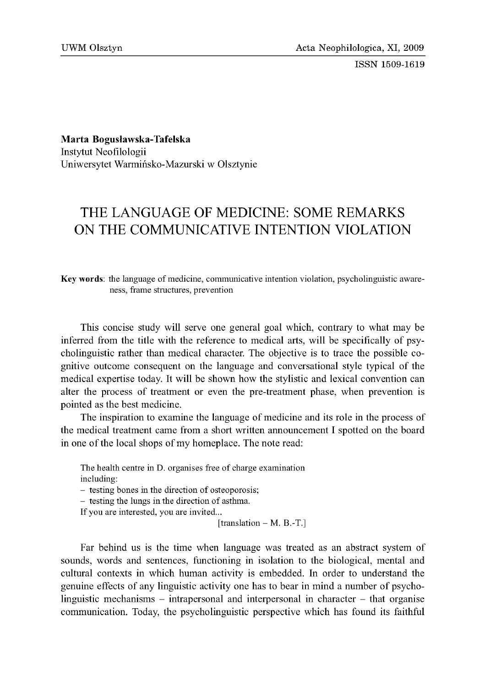ISSN 1509-1619

M arta Bogusławska-Tafelska

Instytut Neofilologii Uniwersytet Warmińsko-Mazurski w Olsztynie

## THE LANGUAGE OF MEDICINE: SOME REMARKS ON THE COMMUNICATIVE INTENTION VIOLATION

Key words: the language of medicine, communicative intention violation, psycholinguistic awareness, frame structures, prevention

This concise study will serve one general goal which, contrary to what may be inferred from the title with the reference to medical arts, will be specifically of psycholinguistic rather than medical character. The objective is to trace the possible cognitive outcome consequent on the language and conversational style typical of the medical expertise today. It will be shown how the stylistic and lexical convention can alter the process of treatment or even the pre-treatment phase, when prevention is pointed as the best medicine.

The inspiration to examine the language of medicine and its role in the process of the medical treatment came from a short written announcement I spotted on the board in one of the local shops of my homeplace. The note read:

The health centre in D. organises free of charge examination including:

- testing bones in the direction of osteoporosis;

- testing the lungs in the direction of asthma.

If you are interested, you are invited...

[translation  $-$  M. B.-T.]

Far behind us is the time when language was treated as an abstract system of sounds, words and sentences, functioning in isolation to the biological, mental and cultural contexts in which human activity is embedded. In order to understand the genuine effects of any linguistic activity one has to bear in mind a number of psycholinguistic mechanisms - intrapersonal and interpersonal in character - that organise communication. Today, the psycholinguistic perspective which has found its faithful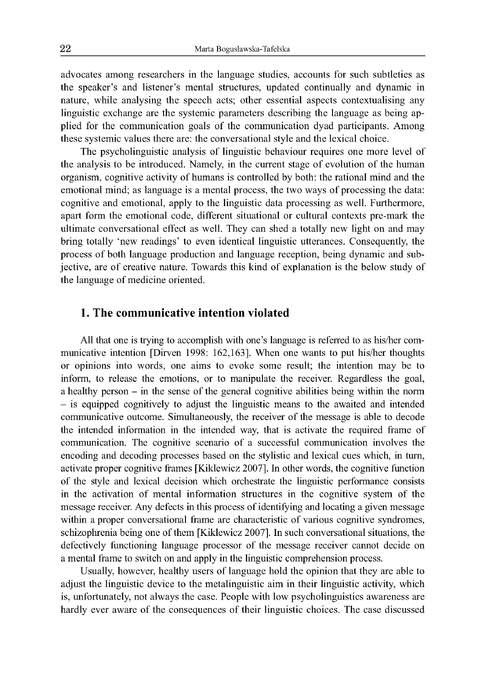advocates among researchers in the language studies, accounts for such subtleties as the speaker's and listener's mental structures, updated continually and dynamic in nature, while analysing the speech acts; other essential aspects contextualising any linguistic exchange are the systemic parameters describing the language as being applied for the communication goals of the communication dyad participants. Among these systemic values there are: the conversational style and the lexical choice.

The psycholinguistic analysis of linguistic behaviour requires one more level of the analysis to be introduced. Namely, in the current stage of evolution of the human organism, cognitive activity of humans is controlled by both: the rational mind and the emotional mind; as language is a mental process, the two ways of processing the data: cognitive and emotional, apply to the linguistic data processing as well. Furthermore, apart form the emotional code, different situational or cultural contexts pre-mark the ultimate conversational effect as well. They can shed a totally new light on and may bring totally 'new readings' to even identical linguistic utterances. Consequently, the process of both language production and language reception, being dynamic and subjective, are of creative nature. Towards this kind of explanation is the below study of the language of medicine oriented.

### **1. The communicative intention violated**

All that one is trying to accomplish with one's language is referred to as his/her communicative intention [Dirven 1998: 162,163]. When one wants to put his/her thoughts or opinions into words, one aims to evoke some result; the intention may be to inform, to release the emotions, or to manipulate the receiver. Regardless the goal, a healthy person - in the sense of the general cognitive abilities being within the norm - is equipped cognitively to adjust the linguistic means to the awaited and intended communicative outcome. Simultaneously, the receiver of the message is able to decode the intended information in the intended way, that is activate the required frame of communication. The cognitive scenario of a successful communication involves the encoding and decoding processes based on the stylistic and lexical cues which, in turn, activate proper cognitive frames [Kiklewicz 2007]. In other words, the cognitive function of the style and lexical decision which orchestrate the linguistic performance consists in the activation of mental information structures in the cognitive system of the message receiver. Any defects in this process of identifying and locating a given message within a proper conversational frame are characteristic of various cognitive syndromes, schizophrenia being one of them [Kiklewicz 2007]. In such conversational situations, the defectively functioning language processor of the message receiver cannot decide on a mental frame to switch on and apply in the linguistic comprehension process.

Usually, however, healthy users of language hold the opinion that they are able to adjust the linguistic device to the metalinguistic aim in their linguistic activity, which is, unfortunately, not always the case. People with low psycholinguistics awareness are hardly ever aware of the consequences of their linguistic choices. The case discussed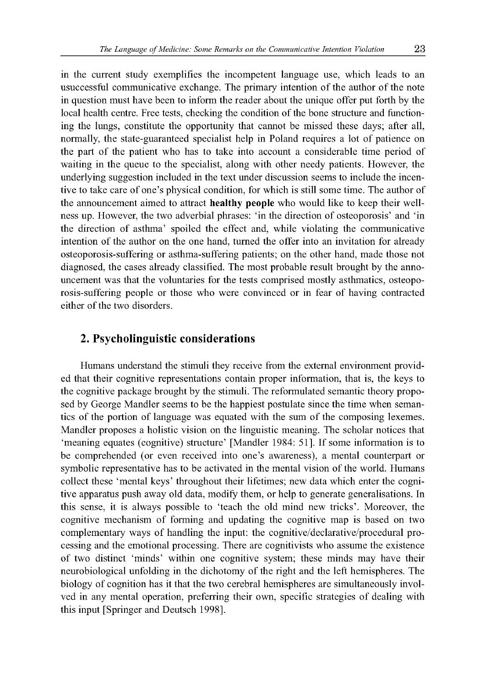in the current study exemplifies the incompetent language use, which leads to an usuccessful communicative exchange. The primary intention of the author of the note in question must have been to inform the reader about the unique offer put forth by the local health centre. Free tests, checking the condition of the bone structure and functioning the lungs, constitute the opportunity that cannot be missed these days; after all, normally, the state-guaranteed specialist help in Poland requires a lot of patience on the part of the patient who has to take into account a considerable time period of waiting in the queue to the specialist, along with other needy patients. However, the underlying suggestion included in the text under discussion seems to include the incentive to take care of one's physical condition, for which is still some time. The author of the announcement aimed to attract healthy people who would like to keep their wellness up. However, the two adverbial phrases: 'in the direction of osteoporosis' and 'in the direction of asthma' spoiled the effect and, while violating the communicative intention of the author on the one hand, turned the offer into an invitation for already osteoporosis-suffering or asthma-suffering patients; on the other hand, made those not diagnosed, the cases already classified. The most probable result brought by the announcement was that the voluntaries for the tests comprised mostly asthmatics, osteoporosis-suffering people or those who were convinced or in fear of having contracted either of the two disorders.

### **2. Psycholinguistic considerations**

Humans understand the stimuli they receive from the external environment provided that their cognitive representations contain proper information, that is, the keys to the cognitive package brought by the stimuli. The reformulated semantic theory proposed by George Mandler seems to be the happiest postulate since the time when semantics of the portion of language was equated with the sum of the composing lexemes. Mandler proposes a holistic vision on the linguistic meaning. The scholar notices that 'meaning equates (cognitive) structure' [Mandler 1984: 51]. If some information is to be comprehended (or even received into one's awareness), a mental counterpart or symbolic representative has to be activated in the mental vision of the world. Humans collect these 'mental keys' throughout their lifetimes; new data which enter the cognitive apparatus push away old data, modify them, or help to generate generalisations. In this sense, it is always possible to 'teach the old mind new tricks'. Moreover, the cognitive mechanism of forming and updating the cognitive map is based on two complementary ways of handling the input: the cognitive/declarative/procedural processing and the emotional processing. There are cognitivists who assume the existence of two distinct 'minds' within one cognitive system; these minds may have their neurobiological unfolding in the dichotomy of the right and the left hemispheres. The biology of cognition has it that the two cerebral hemispheres are simultaneously involved in any mental operation, preferring their own, specific strategies of dealing with this input [Springer and Deutsch 1998].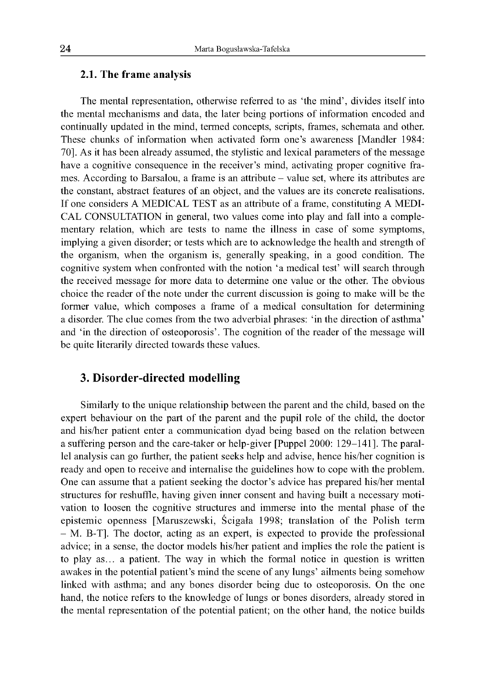#### **2.1. The frame analysis**

The mental representation, otherwise referred to as 'the mind', divides itself into the mental mechanisms and data, the later being portions of information encoded and continually updated in the mind, termed concepts, scripts, frames, schemata and other. These chunks of information when activated form one's awareness [Mandler 1984: 70]. As it has been already assumed, the stylistic and lexical parameters of the message have a cognitive consequence in the receiver's mind, activating proper cognitive frames. According to Barsalou, a frame is an attribute - value set, where its attributes are the constant, abstract features of an object, and the values are its concrete realisations. If one considers A MEDICAL TEST as an attribute of a frame, constituting A MEDI-CAL CONSULTATION in general, two values come into play and fall into a complementary relation, which are tests to name the illness in case of some symptoms, implying a given disorder; or tests which are to acknowledge the health and strength of the organism, when the organism is, generally speaking, in a good condition. The cognitive system when confronted with the notion 'a medical test' will search through the received message for more data to determine one value or the other. The obvious choice the reader of the note under the current discussion is going to make will be the former value, which composes a frame of a medical consultation for determining a disorder. The clue comes from the two adverbial phrases: 'in the direction of asthma' and 'in the direction of osteoporosis'. The cognition of the reader of the message will be quite literarily directed towards these values.

## **3. Disorder-directed modelling**

Similarly to the unique relationship between the parent and the child, based on the expert behaviour on the part of the parent and the pupil role of the child, the doctor and his/her patient enter a communication dyad being based on the relation between a suffering person and the care-taker or help-giver [Puppel 2000: 129-141]. The parallel analysis can go further, the patient seeks help and advise, hence his/her cognition is ready and open to receive and internalise the guidelines how to cope with the problem. One can assume that a patient seeking the doctor's advice has prepared his/her mental structures for reshuffle, having given inner consent and having built a necessary motivation to loosen the cognitive structures and immerse into the mental phase of the epistemic openness [Maruszewski, Ścigała 1998; translation of the Polish term - M. B-T]. The doctor, acting as an expert, is expected to provide the professional advice; in a sense, the doctor models his/her patient and implies the role the patient is to play as... a patient. The way in which the formal notice in question is written awakes in the potential patient's mind the scene of any lungs' ailments being somehow linked with asthma; and any bones disorder being due to osteoporosis. On the one hand, the notice refers to the knowledge of lungs or bones disorders, already stored in the mental representation of the potential patient; on the other hand, the notice builds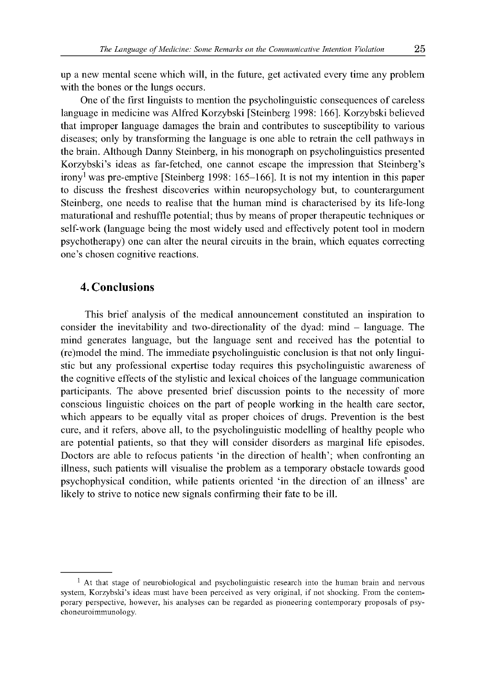up a new mental scene which will, in the future, get activated every time any problem with the bones or the lungs occurs.

One of the first linguists to mention the psycholinguistic consequences of careless language in medicine was Alfred Korzybski [Steinberg 1998: 166]. Korzybski believed that improper language damages the brain and contributes to susceptibility to various diseases; only by transforming the language is one able to retrain the cell pathways in the brain. Although Danny Steinberg, in his monograph on psycholinguistics presented Korzybski's ideas as far-fetched, one cannot escape the impression that Steinberg's irony<sup>1</sup> was pre-emptive [Steinberg 1998: 165–166]. It is not my intention in this paper to discuss the freshest discoveries within neuropsychology but, to counterargument Steinberg, one needs to realise that the human mind is characterised by its life-long maturational and reshuffle potential; thus by means of proper therapeutic techniques or self-work (language being the most widely used and effectively potent tool in modern psychotherapy) one can alter the neural circuits in the brain, which equates correcting one's chosen cognitive reactions.

## **4. Conclusions**

This brief analysis of the medical announcement constituted an inspiration to consider the inevitability and two-directionality of the dyad: mind - language. The mind generates language, but the language sent and received has the potential to (re)model the mind. The immediate psycholinguistic conclusion is that not only linguistic but any professional expertise today requires this psycholinguistic awareness of the cognitive effects of the stylistic and lexical choices of the language communication participants. The above presented brief discussion points to the necessity of more conscious linguistic choices on the part of people working in the health care sector, which appears to be equally vital as proper choices of drugs. Prevention is the best cure, and it refers, above all, to the psycholinguistic modelling of healthy people who are potential patients, so that they will consider disorders as marginal life episodes. Doctors are able to refocus patients 'in the direction of health'; when confronting an illness, such patients will visualise the problem as a temporary obstacle towards good psychophysical condition, while patients oriented 'in the direction of an illness' are likely to strive to notice new signals confirming their fate to be ill.

 $<sup>1</sup>$  At that stage of neurobiological and psycholinguistic research into the human brain and nervous</sup> system, Korzybski's ideas must have been perceived as very original, if not shocking. From the contemporary perspective, however, his analyses can be regarded as pioneering contemporary proposals of psychoneuroimmunology.